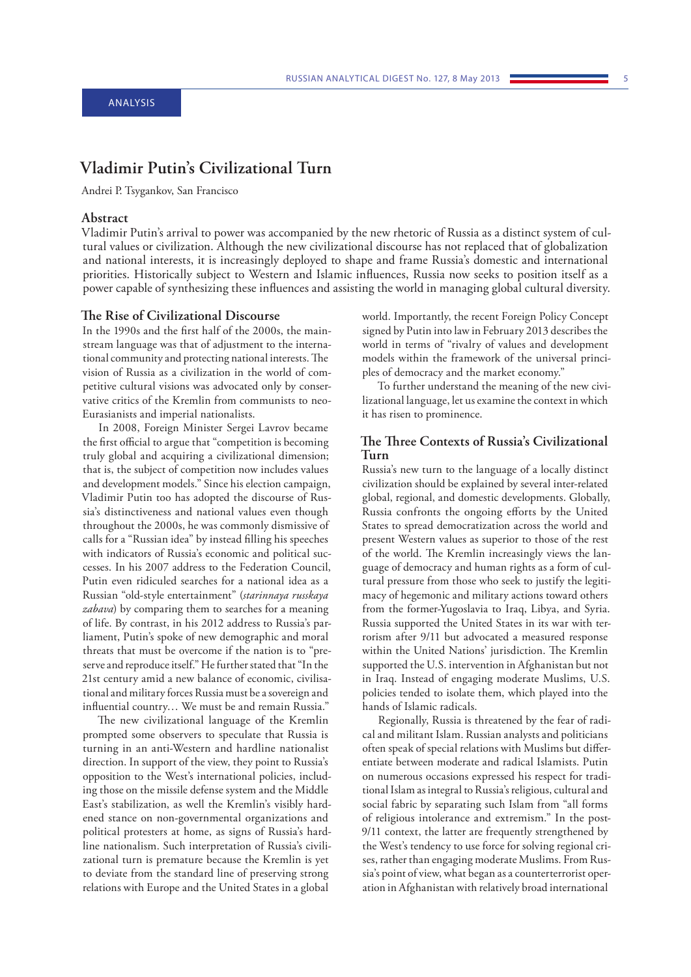# **Vladimir Putin's Civilizational Turn**

Andrei P. Tsygankov, San Francisco

# **Abstract**

Vladimir Putin's arrival to power was accompanied by the new rhetoric of Russia as a distinct system of cultural values or civilization. Although the new civilizational discourse has not replaced that of globalization and national interests, it is increasingly deployed to shape and frame Russia's domestic and international priorities. Historically subject to Western and Islamic influences, Russia now seeks to position itself as a power capable of synthesizing these influences and assisting the world in managing global cultural diversity.

### **The Rise of Civilizational Discourse**

In the 1990s and the first half of the 2000s, the mainstream language was that of adjustment to the international community and protecting national interests. The vision of Russia as a civilization in the world of competitive cultural visions was advocated only by conservative critics of the Kremlin from communists to neo-Eurasianists and imperial nationalists.

In 2008, Foreign Minister Sergei Lavrov became the first official to argue that "competition is becoming truly global and acquiring a civilizational dimension; that is, the subject of competition now includes values and development models." Since his election campaign, Vladimir Putin too has adopted the discourse of Russia's distinctiveness and national values even though throughout the 2000s, he was commonly dismissive of calls for a "Russian idea" by instead filling his speeches with indicators of Russia's economic and political successes. In his 2007 address to the Federation Council, Putin even ridiculed searches for a national idea as a Russian "old-style entertainment" (*starinnaya russkaya zabava*) by comparing them to searches for a meaning of life. By contrast, in his 2012 address to Russia's parliament, Putin's spoke of new demographic and moral threats that must be overcome if the nation is to "preserve and reproduce itself." He further stated that "In the 21st century amid a new balance of economic, civilisational and military forces Russia must be a sovereign and influential country… We must be and remain Russia."

The new civilizational language of the Kremlin prompted some observers to speculate that Russia is turning in an anti-Western and hardline nationalist direction. In support of the view, they point to Russia's opposition to the West's international policies, including those on the missile defense system and the Middle East's stabilization, as well the Kremlin's visibly hardened stance on non-governmental organizations and political protesters at home, as signs of Russia's hardline nationalism. Such interpretation of Russia's civilizational turn is premature because the Kremlin is yet to deviate from the standard line of preserving strong relations with Europe and the United States in a global

world. Importantly, the recent Foreign Policy Concept signed by Putin into law in February 2013 describes the world in terms of "rivalry of values and development models within the framework of the universal principles of democracy and the market economy."

To further understand the meaning of the new civilizational language, let us examine the context in which it has risen to prominence.

# **The Three Contexts of Russia's Civilizational Turn**

Russia's new turn to the language of a locally distinct civilization should be explained by several inter-related global, regional, and domestic developments. Globally, Russia confronts the ongoing efforts by the United States to spread democratization across the world and present Western values as superior to those of the rest of the world. The Kremlin increasingly views the language of democracy and human rights as a form of cultural pressure from those who seek to justify the legitimacy of hegemonic and military actions toward others from the former-Yugoslavia to Iraq, Libya, and Syria. Russia supported the United States in its war with terrorism after 9/11 but advocated a measured response within the United Nations' jurisdiction. The Kremlin supported the U.S. intervention in Afghanistan but not in Iraq. Instead of engaging moderate Muslims, U.S. policies tended to isolate them, which played into the hands of Islamic radicals.

Regionally, Russia is threatened by the fear of radical and militant Islam. Russian analysts and politicians often speak of special relations with Muslims but differentiate between moderate and radical Islamists. Putin on numerous occasions expressed his respect for traditional Islam as integral to Russia's religious, cultural and social fabric by separating such Islam from "all forms of religious intolerance and extremism." In the post-9/11 context, the latter are frequently strengthened by the West's tendency to use force for solving regional crises, rather than engaging moderate Muslims. From Russia's point of view, what began as a counterterrorist operation in Afghanistan with relatively broad international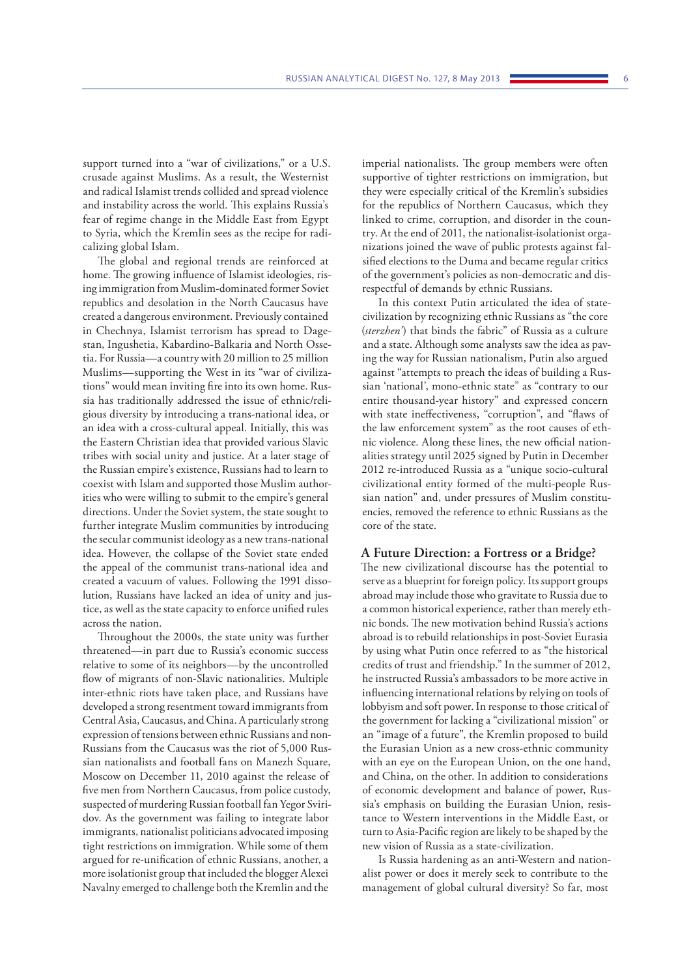support turned into a "war of civilizations," or a U.S. crusade against Muslims. As a result, the Westernist and radical Islamist trends collided and spread violence and instability across the world. This explains Russia's fear of regime change in the Middle East from Egypt to Syria, which the Kremlin sees as the recipe for radicalizing global Islam.

The global and regional trends are reinforced at home. The growing influence of Islamist ideologies, rising immigration from Muslim-dominated former Soviet republics and desolation in the North Caucasus have created a dangerous environment. Previously contained in Chechnya, Islamist terrorism has spread to Dagestan, Ingushetia, Kabardino-Balkaria and North Ossetia. For Russia—a country with 20 million to 25 million Muslims—supporting the West in its "war of civilizations" would mean inviting fire into its own home. Russia has traditionally addressed the issue of ethnic/religious diversity by introducing a trans-national idea, or an idea with a cross-cultural appeal. Initially, this was the Eastern Christian idea that provided various Slavic tribes with social unity and justice. At a later stage of the Russian empire's existence, Russians had to learn to coexist with Islam and supported those Muslim authorities who were willing to submit to the empire's general directions. Under the Soviet system, the state sought to further integrate Muslim communities by introducing the secular communist ideology as a new trans-national idea. However, the collapse of the Soviet state ended the appeal of the communist trans-national idea and created a vacuum of values. Following the 1991 dissolution, Russians have lacked an idea of unity and justice, as well as the state capacity to enforce unified rules across the nation.

Throughout the 2000s, the state unity was further threatened—in part due to Russia's economic success relative to some of its neighbors—by the uncontrolled flow of migrants of non-Slavic nationalities. Multiple inter-ethnic riots have taken place, and Russians have developed a strong resentment toward immigrants from Central Asia, Caucasus, and China. A particularly strong expression of tensions between ethnic Russians and non-Russians from the Caucasus was the riot of 5,000 Russian nationalists and football fans on Manezh Square, Moscow on December 11, 2010 against the release of five men from Northern Caucasus, from police custody, suspected of murdering Russian football fan Yegor Sviridov. As the government was failing to integrate labor immigrants, nationalist politicians advocated imposing tight restrictions on immigration. While some of them argued for re-unification of ethnic Russians, another, a more isolationist group that included the blogger Alexei Navalny emerged to challenge both the Kremlin and the

imperial nationalists. The group members were often supportive of tighter restrictions on immigration, but they were especially critical of the Kremlin's subsidies for the republics of Northern Caucasus, which they linked to crime, corruption, and disorder in the country. At the end of 2011, the nationalist-isolationist organizations joined the wave of public protests against falsified elections to the Duma and became regular critics of the government's policies as non-democratic and disrespectful of demands by ethnic Russians.

In this context Putin articulated the idea of statecivilization by recognizing ethnic Russians as "the core (*sterzhen'*) that binds the fabric" of Russia as a culture and a state. Although some analysts saw the idea as paving the way for Russian nationalism, Putin also argued against "attempts to preach the ideas of building a Russian 'national', mono-ethnic state" as "contrary to our entire thousand-year history" and expressed concern with state ineffectiveness, "corruption", and "flaws of the law enforcement system" as the root causes of ethnic violence. Along these lines, the new official nationalities strategy until 2025 signed by Putin in December 2012 re-introduced Russia as a "unique socio-cultural civilizational entity formed of the multi-people Russian nation" and, under pressures of Muslim constituencies, removed the reference to ethnic Russians as the core of the state.

### **A Future Direction: a Fortress or a Bridge?**

The new civilizational discourse has the potential to serve as a blueprint for foreign policy. Its support groups abroad may include those who gravitate to Russia due to a common historical experience, rather than merely ethnic bonds. The new motivation behind Russia's actions abroad is to rebuild relationships in post-Soviet Eurasia by using what Putin once referred to as "the historical credits of trust and friendship." In the summer of 2012, he instructed Russia's ambassadors to be more active in influencing international relations by relying on tools of lobbyism and soft power. In response to those critical of the government for lacking a "civilizational mission" or an "image of a future", the Kremlin proposed to build the Eurasian Union as a new cross-ethnic community with an eye on the European Union, on the one hand, and China, on the other. In addition to considerations of economic development and balance of power, Russia's emphasis on building the Eurasian Union, resistance to Western interventions in the Middle East, or turn to Asia-Pacific region are likely to be shaped by the new vision of Russia as a state-civilization.

Is Russia hardening as an anti-Western and nationalist power or does it merely seek to contribute to the management of global cultural diversity? So far, most